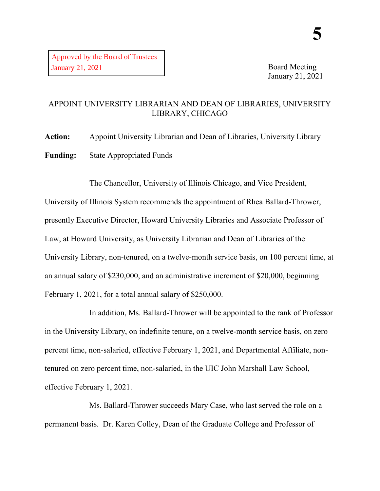Board Meeting January 21, 2021

## APPOINT UNIVERSITY LIBRARIAN AND DEAN OF LIBRARIES, UNIVERSITY LIBRARY, CHICAGO

**Action:** Appoint University Librarian and Dean of Libraries, University Library **Funding:** State Appropriated Funds

The Chancellor, University of Illinois Chicago, and Vice President, University of Illinois System recommends the appointment of Rhea Ballard-Thrower, presently Executive Director, Howard University Libraries and Associate Professor of Law, at Howard University, as University Librarian and Dean of Libraries of the University Library, non-tenured, on a twelve-month service basis, on 100 percent time, at an annual salary of \$230,000, and an administrative increment of \$20,000, beginning February 1, 2021, for a total annual salary of \$250,000.

In addition, Ms. Ballard-Thrower will be appointed to the rank of Professor in the University Library, on indefinite tenure, on a twelve-month service basis, on zero percent time, non-salaried, effective February 1, 2021, and Departmental Affiliate, nontenured on zero percent time, non-salaried, in the UIC John Marshall Law School, effective February 1, 2021.

Ms. Ballard-Thrower succeeds Mary Case, who last served the role on a permanent basis. Dr. Karen Colley, Dean of the Graduate College and Professor of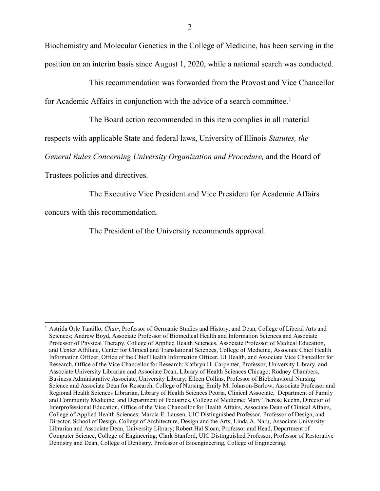Biochemistry and Molecular Genetics in the College of Medicine, has been serving in the position on an interim basis since August 1, 2020, while a national search was conducted.

This recommendation was forwarded from the Provost and Vice Chancellor for Academic Affairs in conjunction with the advice of a search committee.<sup>[1](#page-1-0)</sup>

The Board action recommended in this item complies in all material

respects with applicable State and federal laws, University of Illinois *Statutes, the* 

*General Rules Concerning University Organization and Procedure,* and the Board of

Trustees policies and directives.

The Executive Vice President and Vice President for Academic Affairs

concurs with this recommendation.

The President of the University recommends approval.

<span id="page-1-0"></span> <sup>1</sup> Astrida Orle Tantillo, *Chair*, Professor of Germanic Studies and History, and Dean, College of Liberal Arts and Sciences; Andrew Boyd, Associate Professor of Biomedical Health and Information Sciences and Associate Professor of Physical Therapy, College of Applied Health Sciences, Associate Professor of Medical Education, and Center Affiliate, Center for Clinical and Translational Sciences, College of Medicine, Associate Chief Health Information Officer, Office of the Chief Health Information Officer, UI Health, and Associate Vice Chancellor for Research, Office of the Vice Chancellor for Research; Kathryn H. Carpenter, Professor, University Library, and Associate University Librarian and Associate Dean, Library of Health Sciences Chicago; Rodney Chambers, Business Administrative Associate, University Library; Eileen Collins, Professor of Biobehavioral Nursing Science and Associate Dean for Research, College of Nursing; Emily M. Johnson-Barlow, Associate Professor and Regional Health Sciences Librarian, Library of Health Sciences Peoria, Clinical Associate, Department of Family and Community Medicine, and Department of Pediatrics, College of Medicine; Mary Therese Keehn, Director of Interprofessional Education, Office of the Vice Chancellor for Health Affairs, Associate Dean of Clinical Affairs, College of Applied Health Sciences; Marcia E. Lausen, UIC Distinguished Professor, Professor of Design, and Director, School of Design, College of Architecture, Design and the Arts; Linda A. Naru, Associate University Librarian and Associate Dean, University Library; Robert Hal Sloan, Professor and Head, Department of Computer Science, College of Engineering; Clark Stanford, UIC Distinguished Professor, Professor of Restorative Dentistry and Dean, College of Dentistry, Professor of Bioengineering, College of Engineering.